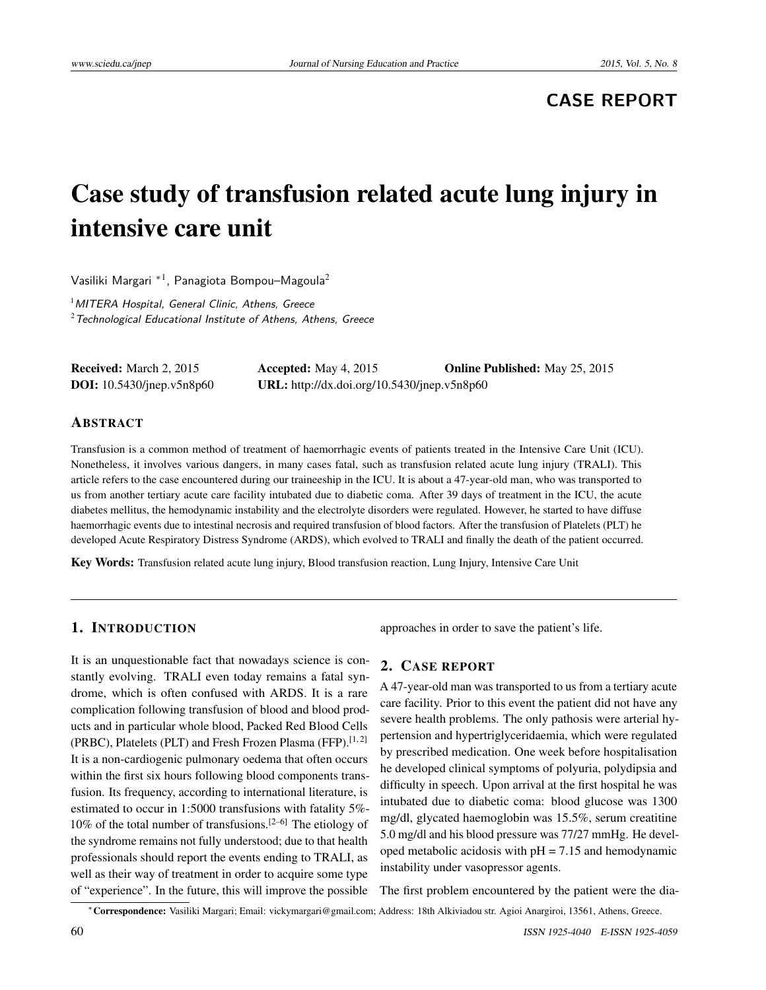## **CASE REPORT**

# Case study of transfusion related acute lung injury in intensive care unit

Vasiliki Margari  $^{\ast}{}^{1}$ , Panagiota Bompou–Magoula $^{2}$ 

<sup>1</sup> MITERA Hospital, General Clinic, Athens, Greece  $2$ Technological Educational Institute of Athens, Athens, Greece

Received: March 2, 2015 Accepted: May 4, 2015 Online Published: May 25, 2015 DOI: 10.5430/jnep.v5n8p60 URL: http://dx.doi.org/10.5430/jnep.v5n8p60

#### ABSTRACT

Transfusion is a common method of treatment of haemorrhagic events of patients treated in the Intensive Care Unit (ICU). Nonetheless, it involves various dangers, in many cases fatal, such as transfusion related acute lung injury (TRALI). This article refers to the case encountered during our traineeship in the ICU. It is about a 47-year-old man, who was transported to us from another tertiary acute care facility intubated due to diabetic coma. After 39 days of treatment in the ICU, the acute diabetes mellitus, the hemodynamic instability and the electrolyte disorders were regulated. However, he started to have diffuse haemorrhagic events due to intestinal necrosis and required transfusion of blood factors. After the transfusion of Platelets (PLT) he developed Acute Respiratory Distress Syndrome (ARDS), which evolved to TRALI and finally the death of the patient occurred.

Key Words: Transfusion related acute lung injury, Blood transfusion reaction, Lung Injury, Intensive Care Unit

### 1. INTRODUCTION

It is an unquestionable fact that nowadays science is constantly evolving. TRALI even today remains a fatal syndrome, which is often confused with ARDS. It is a rare complication following transfusion of blood and blood products and in particular whole blood, Packed Red Blood Cells (PRBC), Platelets (PLT) and Fresh Frozen Plasma (FFP).<sup>[\[1,](#page-3-0)[2\]](#page-3-1)</sup> It is a non-cardiogenic pulmonary oedema that often occurs within the first six hours following blood components transfusion. Its frequency, according to international literature, is estimated to occur in 1:5000 transfusions with fatality 5%-  $10\%$  of the total number of transfusions.<sup>[\[2–](#page-3-1)[6\]](#page-3-2)</sup> The etiology of the syndrome remains not fully understood; due to that health professionals should report the events ending to TRALI, as well as their way of treatment in order to acquire some type of "experience". In the future, this will improve the possible

approaches in order to save the patient's life.

#### 2. CASE REPORT

A 47-year-old man was transported to us from a tertiary acute care facility. Prior to this event the patient did not have any severe health problems. The only pathosis were arterial hypertension and hypertriglyceridaemia, which were regulated by prescribed medication. One week before hospitalisation he developed clinical symptoms of polyuria, polydipsia and difficulty in speech. Upon arrival at the first hospital he was intubated due to diabetic coma: blood glucose was 1300 mg/dl, glycated haemoglobin was 15.5%, serum creatitine 5.0 mg/dl and his blood pressure was 77/27 mmHg. He developed metabolic acidosis with  $pH = 7.15$  and hemodynamic instability under vasopressor agents.

The first problem encountered by the patient were the dia-

<sup>∗</sup>Correspondence: Vasiliki Margari; Email: vickymargari@gmail.com; Address: 18th Alkiviadou str. Agioi Anargiroi, 13561, Athens, Greece.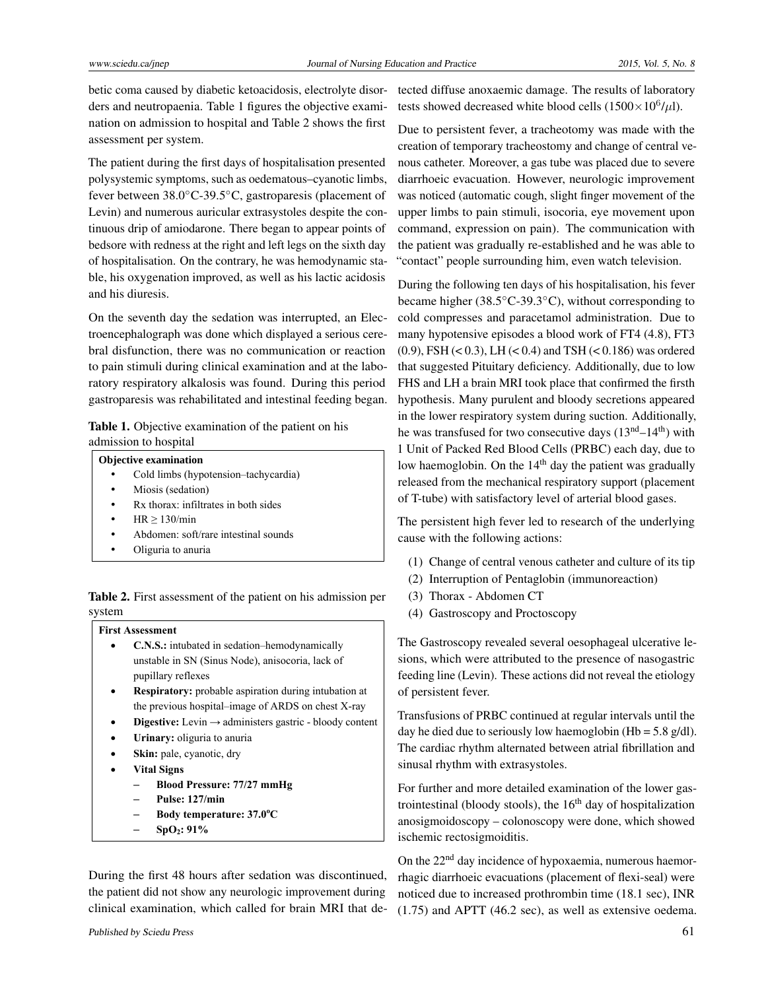betic coma caused by diabetic ketoacidosis, electrolyte disorders and neutropaenia. Table 1 figures the objective examination on admission to hospital and Table 2 shows the first assessment per system.

The patient during the first days of hospitalisation presented polysystemic symptoms, such as oedematous–cyanotic limbs, fever between 38.0◦C-39.5◦C, gastroparesis (placement of Levin) and numerous auricular extrasystoles despite the continuous drip of amiodarone. There began to appear points of bedsore with redness at the right and left legs on the sixth day of hospitalisation. On the contrary, he was hemodynamic stable, his oxygenation improved, as well as his lactic acidosis and his diuresis.

On the seventh day the sedation was interrupted, an Electroencephalograph was done which displayed a serious cerebral disfunction, there was no communication or reaction to pain stimuli during clinical examination and at the laboratory respiratory alkalosis was found. During this period gastroparesis was rehabilitated and intestinal feeding began.

| Table 1. Objective examination of the patient on his |  |
|------------------------------------------------------|--|
| admission to hospital                                |  |

#### **Objective examination**

- Cold limbs (hypotension–tachycardia)
- Miosis (sedation)
- Rx thorax: infiltrates in both sides
- HR ≥ 130/min
- Abdomen: soft/rare intestinal sounds
- Oliguria to anuria

Table 2. First assessment of the patient on his admission per system

#### **First Assessment**

- **C.N.S.:** intubated in sedation–hemodynamically unstable in SN (Sinus Node), anisocoria, lack of pupillary reflexes
- **Respiratory:** probable aspiration during intubation at the previous hospital–image of ARDS on chest X-ray
- **Digestive:** Levin → administers gastric bloody content
- **Urinary:** oliguria to anuria
- **Skin:** pale, cyanotic, dry
- **Vital Signs**
	- **Blood Pressure: 77/27 mmHg**
	- **Pulse: 127/min**
	- **Body temperature: 37.0<sup>ο</sup> C**
	- **SpO2: 91%**

During the first 48 hours after sedation was discontinued, the patient did not show any neurologic improvement during clinical examination, which called for brain MRI that detected diffuse anoxaemic damage. The results of laboratory tests showed decreased white blood cells  $(1500 \times 10^6/\mu l)$ .

Due to persistent fever, a tracheotomy was made with the creation of temporary tracheostomy and change of central venous catheter. Moreover, a gas tube was placed due to severe diarrhoeic evacuation. However, neurologic improvement was noticed (automatic cough, slight finger movement of the upper limbs to pain stimuli, isocoria, eye movement upon command, expression on pain). The communication with the patient was gradually re-established and he was able to "contact" people surrounding him, even watch television.

During the following ten days of his hospitalisation, his fever became higher (38.5◦C-39.3◦C), without corresponding to cold compresses and paracetamol administration. Due to many hypotensive episodes a blood work of FT4 (4.8), FT3  $(0.9)$ , FSH  $(< 0.3)$ , LH  $(< 0.4)$  and TSH  $(< 0.186)$  was ordered that suggested Pituitary deficiency. Additionally, due to low FHS and LH a brain MRI took place that confirmed the firsth hypothesis. Many purulent and bloody secretions appeared in the lower respiratory system during suction. Additionally, he was transfused for two consecutive days  $(13<sup>nd</sup>–14<sup>th</sup>)$  with 1 Unit of Packed Red Blood Cells (PRBC) each day, due to low haemoglobin. On the  $14<sup>th</sup>$  day the patient was gradually released from the mechanical respiratory support (placement of T-tube) with satisfactory level of arterial blood gases.

The persistent high fever led to research of the underlying cause with the following actions:

- (1) Change of central venous catheter and culture of its tip
- (2) Interruption of Pentaglobin (immunoreaction)
- (3) Thorax Abdomen CT
- (4) Gastroscopy and Proctoscopy

The Gastroscopy revealed several oesophageal ulcerative lesions, which were attributed to the presence of nasogastric feeding line (Levin). These actions did not reveal the etiology of persistent fever.

Transfusions of PRBC continued at regular intervals until the day he died due to seriously low haemoglobin (Hb =  $5.8 \text{ g/dl}$ ). The cardiac rhythm alternated between atrial fibrillation and sinusal rhythm with extrasystoles.

For further and more detailed examination of the lower gastrointestinal (bloody stools), the  $16<sup>th</sup>$  day of hospitalization anosigmoidoscopy – colonoscopy were done, which showed ischemic rectosigmoiditis.

On the 22<sup>nd</sup> day incidence of hypoxaemia, numerous haemorrhagic diarrhoeic evacuations (placement of flexi-seal) were noticed due to increased prothrombin time (18.1 sec), INR (1.75) and APTT (46.2 sec), as well as extensive oedema.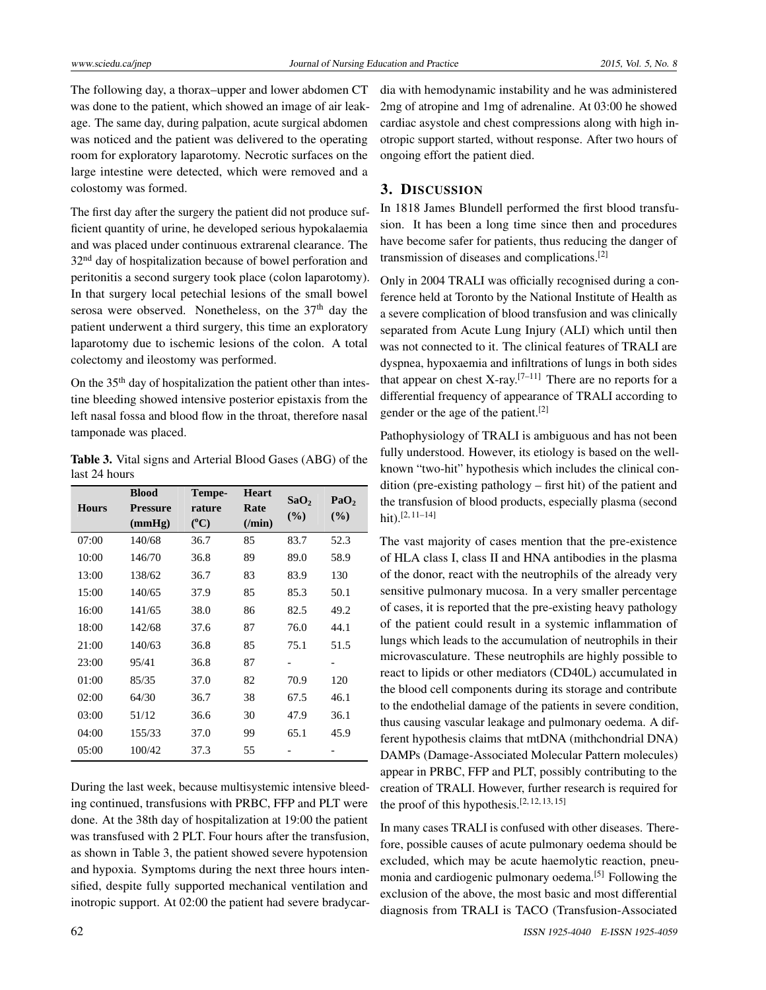The following day, a thorax–upper and lower abdomen CT was done to the patient, which showed an image of air leakage. The same day, during palpation, acute surgical abdomen was noticed and the patient was delivered to the operating room for exploratory laparotomy. Necrotic surfaces on the large intestine were detected, which were removed and a colostomy was formed.

The first day after the surgery the patient did not produce sufficient quantity of urine, he developed serious hypokalaemia and was placed under continuous extrarenal clearance. The 32<sup>nd</sup> day of hospitalization because of bowel perforation and peritonitis a second surgery took place (colon laparotomy). In that surgery local petechial lesions of the small bowel serosa were observed. Nonetheless, on the 37<sup>th</sup> day the patient underwent a third surgery, this time an exploratory laparotomy due to ischemic lesions of the colon. A total colectomy and ileostomy was performed.

On the 35th day of hospitalization the patient other than intestine bleeding showed intensive posterior epistaxis from the left nasal fossa and blood flow in the throat, therefore nasal tamponade was placed.

Table 3. Vital signs and Arterial Blood Gases (ABG) of the last 24 hours

|              | <b>Blood</b>    | Tempe-    | <b>Heart</b>    | SaO <sub>2</sub> | PaO <sub>2</sub> |
|--------------|-----------------|-----------|-----------------|------------------|------------------|
| <b>Hours</b> | <b>Pressure</b> | rature    | Rate            | (%)              | $(\%)$           |
|              | (mmHg)          | $(^{0}C)$ | $(\prime m$ in) |                  |                  |
| 07:00        | 140/68          | 36.7      | 85              | 83.7             | 52.3             |
| 10:00        | 146/70          | 36.8      | 89              | 89.0             | 58.9             |
| 13:00        | 138/62          | 36.7      | 83              | 83.9             | 130              |
| 15:00        | 140/65          | 37.9      | 85              | 85.3             | 50.1             |
| 16:00        | 141/65          | 38.0      | 86              | 82.5             | 49.2             |
| 18:00        | 142/68          | 37.6      | 87              | 76.0             | 44.1             |
| 21:00        | 140/63          | 36.8      | 85              | 75.1             | 51.5             |
| 23:00        | 95/41           | 36.8      | 87              | -                |                  |
| 01:00        | 85/35           | 37.0      | 82              | 70.9             | 120              |
| 02:00        | 64/30           | 36.7      | 38              | 67.5             | 46.1             |
| 03:00        | 51/12           | 36.6      | 30              | 47.9             | 36.1             |
| 04:00        | 155/33          | 37.0      | 99              | 65.1             | 45.9             |
| 05:00        | 100/42          | 37.3      | 55              |                  |                  |

During the last week, because multisystemic intensive bleeding continued, transfusions with PRBC, FFP and PLT were done. At the 38th day of hospitalization at 19:00 the patient was transfused with 2 PLT. Four hours after the transfusion, as shown in Table 3, the patient showed severe hypotension and hypoxia. Symptoms during the next three hours intensified, despite fully supported mechanical ventilation and inotropic support. At 02:00 the patient had severe bradycardia with hemodynamic instability and he was administered 2mg of atropine and 1mg of adrenaline. At 03:00 he showed cardiac asystole and chest compressions along with high inotropic support started, without response. After two hours of ongoing effort the patient died.

#### 3. DISCUSSION

In 1818 James Blundell performed the first blood transfusion. It has been a long time since then and procedures have become safer for patients, thus reducing the danger of transmission of diseases and complications.[\[2\]](#page-3-1)

Only in 2004 TRALI was officially recognised during a conference held at Toronto by the National Institute of Health as a severe complication of blood transfusion and was clinically separated from Acute Lung Injury (ALI) which until then was not connected to it. The clinical features of TRALI are dyspnea, hypoxaemia and infiltrations of lungs in both sides that appear on chest X-ray.<sup>[\[7](#page-3-3)-11]</sup> There are no reports for a differential frequency of appearance of TRALI according to gender or the age of the patient.[\[2\]](#page-3-1)

Pathophysiology of TRALI is ambiguous and has not been fully understood. However, its etiology is based on the wellknown "two-hit" hypothesis which includes the clinical condition (pre-existing pathology – first hit) of the patient and the transfusion of blood products, especially plasma (second hit).[\[2,](#page-3-1) [11](#page-4-0)[–14\]](#page-4-1)

The vast majority of cases mention that the pre-existence of HLA class I, class II and HNA antibodies in the plasma of the donor, react with the neutrophils of the already very sensitive pulmonary mucosa. In a very smaller percentage of cases, it is reported that the pre-existing heavy pathology of the patient could result in a systemic inflammation of lungs which leads to the accumulation of neutrophils in their microvasculature. These neutrophils are highly possible to react to lipids or other mediators (CD40L) accumulated in the blood cell components during its storage and contribute to the endothelial damage of the patients in severe condition, thus causing vascular leakage and pulmonary oedema. A different hypothesis claims that mtDNA (mithchondrial DNA) DAMPs (Damage-Associated Molecular Pattern molecules) appear in PRBC, FFP and PLT, possibly contributing to the creation of TRALI. However, further research is required for the proof of this hypothesis.<sup>[\[2,](#page-3-1) [12,](#page-4-2) [13,](#page-4-3) [15\]](#page-4-4)</sup>

In many cases TRALI is confused with other diseases. Therefore, possible causes of acute pulmonary oedema should be excluded, which may be acute haemolytic reaction, pneu-monia and cardiogenic pulmonary oedema.<sup>[\[5\]](#page-3-4)</sup> Following the exclusion of the above, the most basic and most differential diagnosis from TRALI is TACO (Transfusion-Associated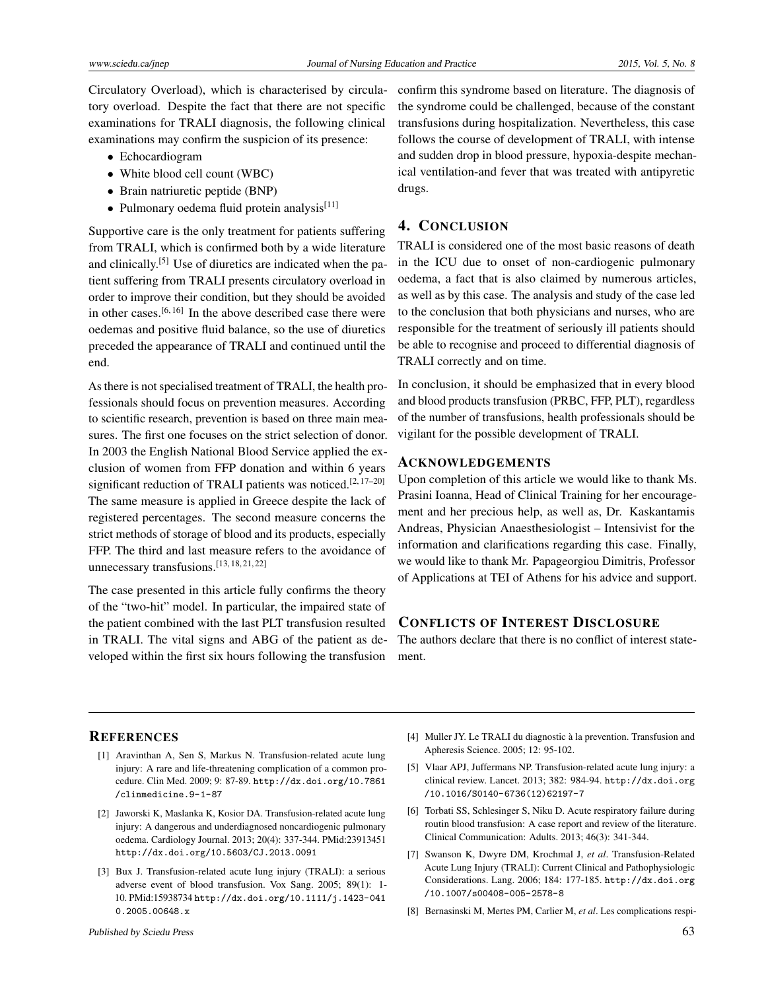Circulatory Overload), which is characterised by circulatory overload. Despite the fact that there are not specific examinations for TRALI diagnosis, the following clinical examinations may confirm the suspicion of its presence:

- Echocardiogram
- White blood cell count (WBC)
- Brain natriuretic peptide (BNP)
- $\bullet$  Pulmonary oedema fluid protein analysis<sup>[\[11\]](#page-4-0)</sup>

Supportive care is the only treatment for patients suffering from TRALI, which is confirmed both by a wide literature and clinically.<sup>[\[5\]](#page-3-4)</sup> Use of diuretics are indicated when the patient suffering from TRALI presents circulatory overload in order to improve their condition, but they should be avoided in other cases.<sup>[\[6,](#page-3-2)[16\]](#page-4-5)</sup> In the above described case there were oedemas and positive fluid balance, so the use of diuretics preceded the appearance of TRALI and continued until the end.

As there is not specialised treatment of TRALI, the health professionals should focus on prevention measures. According to scientific research, prevention is based on three main measures. The first one focuses on the strict selection of donor. In 2003 the English National Blood Service applied the exclusion of women from FFP donation and within 6 years significant reduction of TRALI patients was noticed.<sup>[\[2,](#page-3-1) [17](#page-4-6)[–20\]](#page-4-7)</sup> The same measure is applied in Greece despite the lack of registered percentages. The second measure concerns the strict methods of storage of blood and its products, especially FFP. The third and last measure refers to the avoidance of unnecessary transfusions.[\[13,](#page-4-3) [18,](#page-4-8) [21,](#page-4-9) [22\]](#page-4-10)

The case presented in this article fully confirms the theory of the "two-hit" model. In particular, the impaired state of the patient combined with the last PLT transfusion resulted in TRALI. The vital signs and ABG of the patient as developed within the first six hours following the transfusion

confirm this syndrome based on literature. The diagnosis of the syndrome could be challenged, because of the constant transfusions during hospitalization. Nevertheless, this case follows the course of development of TRALI, with intense and sudden drop in blood pressure, hypoxia-despite mechanical ventilation-and fever that was treated with antipyretic drugs.

## 4. CONCLUSION

TRALI is considered one of the most basic reasons of death in the ICU due to onset of non-cardiogenic pulmonary oedema, a fact that is also claimed by numerous articles, as well as by this case. The analysis and study of the case led to the conclusion that both physicians and nurses, who are responsible for the treatment of seriously ill patients should be able to recognise and proceed to differential diagnosis of TRALI correctly and on time.

In conclusion, it should be emphasized that in every blood and blood products transfusion (PRBC, FFP, PLT), regardless of the number of transfusions, health professionals should be vigilant for the possible development of TRALI.

#### ACKNOWLEDGEMENTS

Upon completion of this article we would like to thank Ms. Prasini Ioanna, Head of Clinical Training for her encouragement and her precious help, as well as, Dr. Kaskantamis Andreas, Physician Anaesthesiologist – Intensivist for the information and clarifications regarding this case. Finally, we would like to thank Mr. Papageorgiou Dimitris, Professor of Applications at TEI of Athens for his advice and support.

## CONFLICTS OF INTEREST DISCLOSURE

The authors declare that there is no conflict of interest statement.

#### **REFERENCES**

- <span id="page-3-0"></span>[1] Aravinthan A, Sen S, Markus N. Transfusion-related acute lung injury: A rare and life-threatening complication of a common procedure. Clin Med. 2009; 9: 87-89. [http://dx.doi.org/10.7861](http://dx.doi.org/10.7861/clinmedicine.9-1-87) [/clinmedicine.9-1-87](http://dx.doi.org/10.7861/clinmedicine.9-1-87)
- <span id="page-3-1"></span>[2] Jaworski K, Maslanka K, Kosior DA. Transfusion-related acute lung injury: A dangerous and underdiagnosed noncardiogenic pulmonary oedema. Cardiology Journal. 2013; 20(4): 337-344. PMid:23913451 <http://dx.doi.org/10.5603/CJ.2013.0091>
- [3] Bux J. Transfusion-related acute lung injury (TRALI): a serious adverse event of blood transfusion. Vox Sang. 2005; 89(1): 1- 10. PMid:15938734 [http://dx.doi.org/10.1111/j.1423-041](http://dx.doi.org/10.1111/j.1423-0410.2005.00648.x) [0.2005.00648.x](http://dx.doi.org/10.1111/j.1423-0410.2005.00648.x)
- [4] Muller JY. Le TRALI du diagnostic à la prevention. Transfusion and Apheresis Science. 2005; 12: 95-102.
- <span id="page-3-4"></span>[5] Vlaar APJ, Juffermans NP. Transfusion-related acute lung injury: a clinical review. Lancet. 2013; 382: 984-94. [http://dx.doi.org](http://dx.doi.org/10.1016/S0140-6736(12)62197-7) [/10.1016/S0140-6736\(12\)62197-7](http://dx.doi.org/10.1016/S0140-6736(12)62197-7)
- <span id="page-3-2"></span>[6] Torbati SS, Schlesinger S, Niku D. Acute respiratory failure during routin blood transfusion: A case report and review of the literature. Clinical Communication: Adults. 2013; 46(3): 341-344.
- <span id="page-3-3"></span>[7] Swanson K, Dwyre DM, Krochmal J, *et al*. Transfusion-Related Acute Lung Injury (TRALI): Current Clinical and Pathophysiologic Considerations. Lang. 2006; 184: 177-185. [http://dx.doi.org](http://dx.doi.org/10.1007/s00408-005-2578-8) [/10.1007/s00408-005-2578-8](http://dx.doi.org/10.1007/s00408-005-2578-8)
- [8] Bernasinski M, Mertes PM, Carlier M, *et al*. Les complications respi-